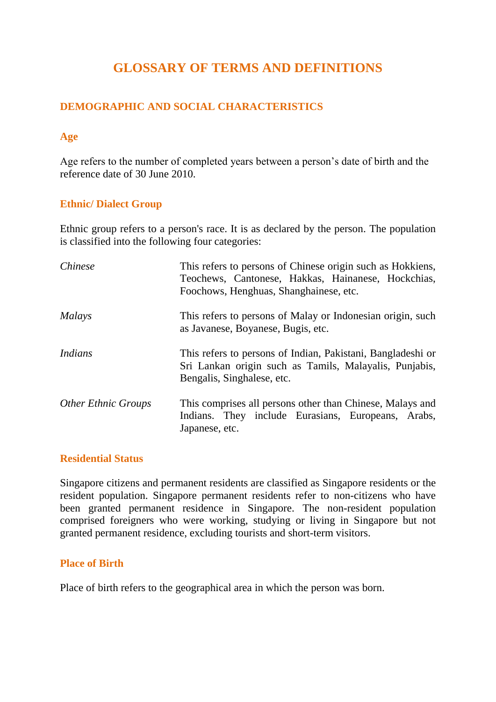# **GLOSSARY OF TERMS AND DEFINITIONS**

## **DEMOGRAPHIC AND SOCIAL CHARACTERISTICS**

## **Age**

Age refers to the number of completed years between a person's date of birth and the reference date of 30 June 2010.

## **Ethnic/ Dialect Group**

Ethnic group refers to a person's race. It is as declared by the person. The population is classified into the following four categories:

| Chinese                    | This refers to persons of Chinese origin such as Hokkiens,<br>Teochews, Cantonese, Hakkas, Hainanese, Hockchias,<br>Foochows, Henghuas, Shanghainese, etc. |
|----------------------------|------------------------------------------------------------------------------------------------------------------------------------------------------------|
| <i>Malays</i>              | This refers to persons of Malay or Indonesian origin, such<br>as Javanese, Boyanese, Bugis, etc.                                                           |
| Indians                    | This refers to persons of Indian, Pakistani, Bangladeshi or<br>Sri Lankan origin such as Tamils, Malayalis, Punjabis,<br>Bengalis, Singhalese, etc.        |
| <b>Other Ethnic Groups</b> | This comprises all persons other than Chinese, Malays and<br>Indians. They include Eurasians, Europeans, Arabs,<br>Japanese, etc.                          |

#### **Residential Status**

Singapore citizens and permanent residents are classified as Singapore residents or the resident population. Singapore permanent residents refer to non-citizens who have been granted permanent residence in Singapore. The non-resident population comprised foreigners who were working, studying or living in Singapore but not granted permanent residence, excluding tourists and short-term visitors.

#### **Place of Birth**

Place of birth refers to the geographical area in which the person was born.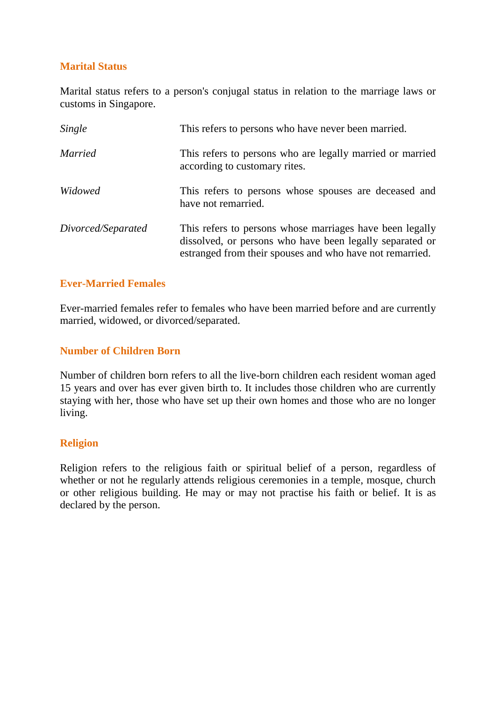# **Marital Status**

Marital status refers to a person's conjugal status in relation to the marriage laws or customs in Singapore.

| Single             | This refers to persons who have never been married.                                                                                                                              |
|--------------------|----------------------------------------------------------------------------------------------------------------------------------------------------------------------------------|
| <i>Married</i>     | This refers to persons who are legally married or married<br>according to customary rites.                                                                                       |
| Widowed            | This refers to persons whose spouses are deceased and<br>have not remarried.                                                                                                     |
| Divorced/Separated | This refers to persons whose marriages have been legally<br>dissolved, or persons who have been legally separated or<br>estranged from their spouses and who have not remarried. |

## **Ever-Married Females**

Ever-married females refer to females who have been married before and are currently married, widowed, or divorced/separated.

## **Number of Children Born**

Number of children born refers to all the live-born children each resident woman aged 15 years and over has ever given birth to. It includes those children who are currently staying with her, those who have set up their own homes and those who are no longer living.

#### **Religion**

Religion refers to the religious faith or spiritual belief of a person, regardless of whether or not he regularly attends religious ceremonies in a temple, mosque, church or other religious building. He may or may not practise his faith or belief. It is as declared by the person.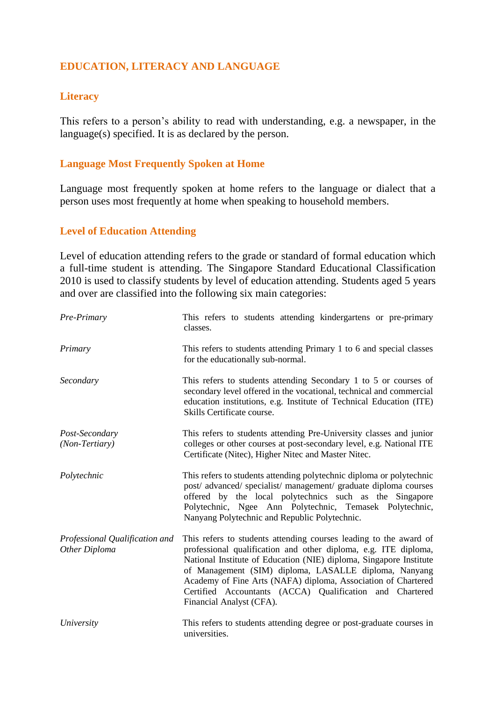# **EDUCATION, LITERACY AND LANGUAGE**

## **Literacy**

This refers to a person's ability to read with understanding, e.g. a newspaper, in the language(s) specified. It is as declared by the person.

## **Language Most Frequently Spoken at Home**

Language most frequently spoken at home refers to the language or dialect that a person uses most frequently at home when speaking to household members.

#### **Level of Education Attending**

Level of education attending refers to the grade or standard of formal education which a full-time student is attending. The Singapore Standard Educational Classification 2010 is used to classify students by level of education attending. Students aged 5 years and over are classified into the following six main categories:

| Pre-Primary                                     | This refers to students attending kindergartens or pre-primary<br>classes.                                                                                                                                                                                                                                                                                                                                                   |
|-------------------------------------------------|------------------------------------------------------------------------------------------------------------------------------------------------------------------------------------------------------------------------------------------------------------------------------------------------------------------------------------------------------------------------------------------------------------------------------|
| Primary                                         | This refers to students attending Primary 1 to 6 and special classes<br>for the educationally sub-normal.                                                                                                                                                                                                                                                                                                                    |
| Secondary                                       | This refers to students attending Secondary 1 to 5 or courses of<br>secondary level offered in the vocational, technical and commercial<br>education institutions, e.g. Institute of Technical Education (ITE)<br>Skills Certificate course.                                                                                                                                                                                 |
| Post-Secondary<br>(Non-Tertiary)                | This refers to students attending Pre-University classes and junior<br>colleges or other courses at post-secondary level, e.g. National ITE<br>Certificate (Nitec), Higher Nitec and Master Nitec.                                                                                                                                                                                                                           |
| Polytechnic                                     | This refers to students attending polytechnic diploma or polytechnic<br>post/ advanced/ specialist/ management/ graduate diploma courses<br>offered by the local polytechnics such as the Singapore<br>Polytechnic, Ngee Ann Polytechnic, Temasek Polytechnic,<br>Nanyang Polytechnic and Republic Polytechnic.                                                                                                              |
| Professional Qualification and<br>Other Diploma | This refers to students attending courses leading to the award of<br>professional qualification and other diploma, e.g. ITE diploma,<br>National Institute of Education (NIE) diploma, Singapore Institute<br>of Management (SIM) diploma, LASALLE diploma, Nanyang<br>Academy of Fine Arts (NAFA) diploma, Association of Chartered<br>Certified Accountants (ACCA) Qualification and Chartered<br>Financial Analyst (CFA). |
| University                                      | This refers to students attending degree or post-graduate courses in<br>universities.                                                                                                                                                                                                                                                                                                                                        |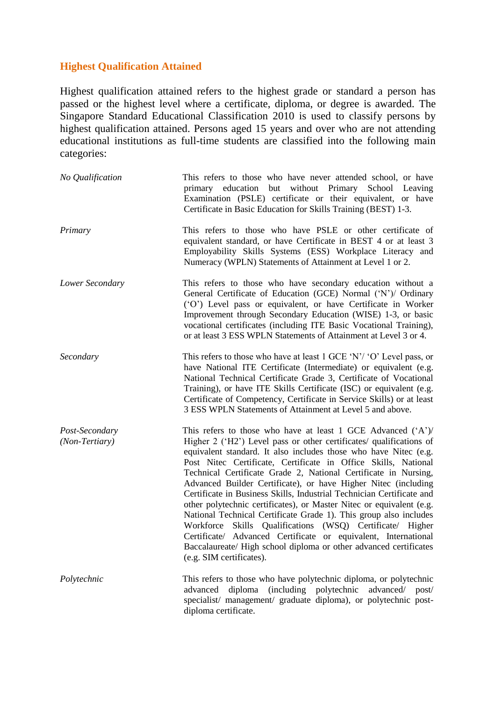## **Highest Qualification Attained**

Highest qualification attained refers to the highest grade or standard a person has passed or the highest level where a certificate, diploma, or degree is awarded. The Singapore Standard Educational Classification 2010 is used to classify persons by highest qualification attained. Persons aged 15 years and over who are not attending educational institutions as full-time students are classified into the following main categories:

| No Qualification                 | This refers to those who have never attended school, or have<br>primary education but without Primary School Leaving<br>Examination (PSLE) certificate or their equivalent, or have<br>Certificate in Basic Education for Skills Training (BEST) 1-3.                                                                                                                                                                                                                                                                                                                                                                                                                                                                                                                                                                                                                          |
|----------------------------------|--------------------------------------------------------------------------------------------------------------------------------------------------------------------------------------------------------------------------------------------------------------------------------------------------------------------------------------------------------------------------------------------------------------------------------------------------------------------------------------------------------------------------------------------------------------------------------------------------------------------------------------------------------------------------------------------------------------------------------------------------------------------------------------------------------------------------------------------------------------------------------|
| Primary                          | This refers to those who have PSLE or other certificate of<br>equivalent standard, or have Certificate in BEST 4 or at least 3<br>Employability Skills Systems (ESS) Workplace Literacy and<br>Numeracy (WPLN) Statements of Attainment at Level 1 or 2.                                                                                                                                                                                                                                                                                                                                                                                                                                                                                                                                                                                                                       |
| Lower Secondary                  | This refers to those who have secondary education without a<br>General Certificate of Education (GCE) Normal ('N')/ Ordinary<br>('O') Level pass or equivalent, or have Certificate in Worker<br>Improvement through Secondary Education (WISE) 1-3, or basic<br>vocational certificates (including ITE Basic Vocational Training),<br>or at least 3 ESS WPLN Statements of Attainment at Level 3 or 4.                                                                                                                                                                                                                                                                                                                                                                                                                                                                        |
| Secondary                        | This refers to those who have at least 1 GCE 'N'/ 'O' Level pass, or<br>have National ITE Certificate (Intermediate) or equivalent (e.g.<br>National Technical Certificate Grade 3, Certificate of Vocational<br>Training), or have ITE Skills Certificate (ISC) or equivalent (e.g.<br>Certificate of Competency, Certificate in Service Skills) or at least<br>3 ESS WPLN Statements of Attainment at Level 5 and above.                                                                                                                                                                                                                                                                                                                                                                                                                                                     |
| Post-Secondary<br>(Non-Tertiary) | This refers to those who have at least 1 GCE Advanced $(A^{\prime})$ /<br>Higher 2 ('H2') Level pass or other certificates/ qualifications of<br>equivalent standard. It also includes those who have Nitec (e.g.<br>Post Nitec Certificate, Certificate in Office Skills, National<br>Technical Certificate Grade 2, National Certificate in Nursing,<br>Advanced Builder Certificate), or have Higher Nitec (including<br>Certificate in Business Skills, Industrial Technician Certificate and<br>other polytechnic certificates), or Master Nitec or equivalent (e.g.<br>National Technical Certificate Grade 1). This group also includes<br>Workforce Skills Qualifications (WSQ) Certificate/ Higher<br>Certificate/ Advanced Certificate or equivalent, International<br>Baccalaureate/ High school diploma or other advanced certificates<br>(e.g. SIM certificates). |
| Polytechnic                      | This refers to those who have polytechnic diploma, or polytechnic<br>diploma (including polytechnic<br>advanced<br>advanced/ post/<br>specialist/ management/ graduate diploma), or polytechnic post-<br>diploma certificate.                                                                                                                                                                                                                                                                                                                                                                                                                                                                                                                                                                                                                                                  |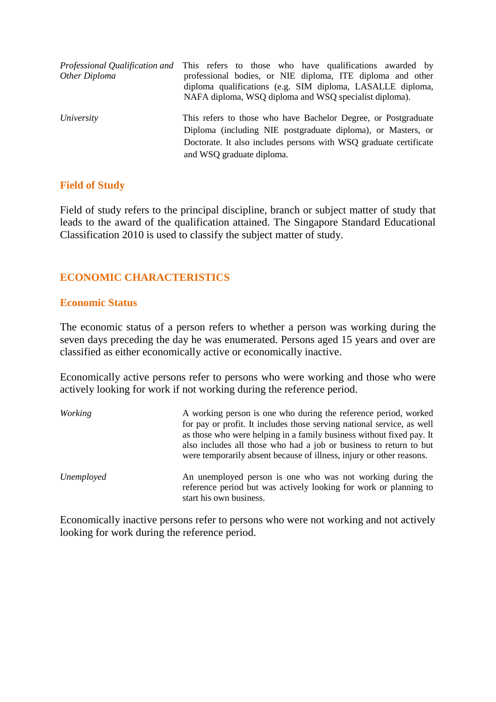|               | <i>Professional Qualification and</i> This refers to those who have qualifications awarded by                                                                                                                                    |
|---------------|----------------------------------------------------------------------------------------------------------------------------------------------------------------------------------------------------------------------------------|
| Other Diploma | professional bodies, or NIE diploma, ITE diploma and other<br>diploma qualifications (e.g. SIM diploma, LASALLE diploma,<br>NAFA diploma, WSQ diploma and WSQ specialist diploma).                                               |
| University    | This refers to those who have Bachelor Degree, or Postgraduate<br>Diploma (including NIE postgraduate diploma), or Masters, or<br>Doctorate. It also includes persons with WSQ graduate certificate<br>and WSQ graduate diploma. |

#### **Field of Study**

Field of study refers to the principal discipline, branch or subject matter of study that leads to the award of the qualification attained. The Singapore Standard Educational Classification 2010 is used to classify the subject matter of study.

## **ECONOMIC CHARACTERISTICS**

#### **Economic Status**

The economic status of a person refers to whether a person was working during the seven days preceding the day he was enumerated. Persons aged 15 years and over are classified as either economically active or economically inactive.

Economically active persons refer to persons who were working and those who were actively looking for work if not working during the reference period.

*Working* A working person is one who during the reference period, worked for pay or profit. It includes those serving national service, as well as those who were helping in a family business without fixed pay. It also includes all those who had a job or business to return to but were temporarily absent because of illness, injury or other reasons. *Unemployed* An unemployed person is one who was not working during the reference period but was actively looking for work or planning to start his own business.

Economically inactive persons refer to persons who were not working and not actively looking for work during the reference period.